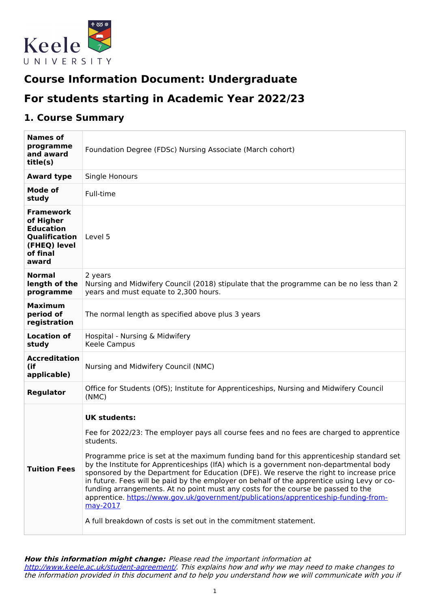

# **Course Information Document: Undergraduate**

# **For students starting in Academic Year 2022/23**

## **1. Course Summary**

| <b>Names of</b><br>programme<br>and award<br>title(s)                                                   | Foundation Degree (FDSc) Nursing Associate (March cohort)                                                                                                                                                                                                                                                                                                                                                                                                                                                                                                                                                                                                                                                                                                              |  |  |  |
|---------------------------------------------------------------------------------------------------------|------------------------------------------------------------------------------------------------------------------------------------------------------------------------------------------------------------------------------------------------------------------------------------------------------------------------------------------------------------------------------------------------------------------------------------------------------------------------------------------------------------------------------------------------------------------------------------------------------------------------------------------------------------------------------------------------------------------------------------------------------------------------|--|--|--|
| <b>Award type</b>                                                                                       | Single Honours                                                                                                                                                                                                                                                                                                                                                                                                                                                                                                                                                                                                                                                                                                                                                         |  |  |  |
| Mode of<br>study                                                                                        | Full-time                                                                                                                                                                                                                                                                                                                                                                                                                                                                                                                                                                                                                                                                                                                                                              |  |  |  |
| <b>Framework</b><br>of Higher<br><b>Education</b><br>Qualification<br>(FHEQ) level<br>of final<br>award | Level 5                                                                                                                                                                                                                                                                                                                                                                                                                                                                                                                                                                                                                                                                                                                                                                |  |  |  |
| <b>Normal</b><br>length of the<br>programme                                                             | 2 years<br>Nursing and Midwifery Council (2018) stipulate that the programme can be no less than 2<br>years and must equate to 2,300 hours.                                                                                                                                                                                                                                                                                                                                                                                                                                                                                                                                                                                                                            |  |  |  |
| <b>Maximum</b><br>period of<br>registration                                                             | The normal length as specified above plus 3 years                                                                                                                                                                                                                                                                                                                                                                                                                                                                                                                                                                                                                                                                                                                      |  |  |  |
| <b>Location of</b><br>study                                                                             | Hospital - Nursing & Midwifery<br>Keele Campus                                                                                                                                                                                                                                                                                                                                                                                                                                                                                                                                                                                                                                                                                                                         |  |  |  |
| <b>Accreditation</b><br>(if<br>applicable)                                                              | Nursing and Midwifery Council (NMC)                                                                                                                                                                                                                                                                                                                                                                                                                                                                                                                                                                                                                                                                                                                                    |  |  |  |
| <b>Regulator</b>                                                                                        | Office for Students (OfS); Institute for Apprenticeships, Nursing and Midwifery Council<br>(NMC)                                                                                                                                                                                                                                                                                                                                                                                                                                                                                                                                                                                                                                                                       |  |  |  |
| <b>Tuition Fees</b>                                                                                     | <b>UK students:</b><br>Fee for 2022/23: The employer pays all course fees and no fees are charged to apprentice<br>students.<br>Programme price is set at the maximum funding band for this apprenticeship standard set<br>by the Institute for Apprenticeships (IfA) which is a government non-departmental body<br>sponsored by the Department for Education (DFE). We reserve the right to increase price<br>in future. Fees will be paid by the employer on behalf of the apprentice using Levy or co-<br>funding arrangements. At no point must any costs for the course be passed to the<br>apprentice. https://www.gov.uk/government/publications/apprenticeship-funding-from-<br>may-2017<br>A full breakdown of costs is set out in the commitment statement. |  |  |  |

**How this information might change:** Please read the important information at <http://www.keele.ac.uk/student-agreement/>. This explains how and why we may need to make changes to the information provided in this document and to help you understand how we will communicate with you if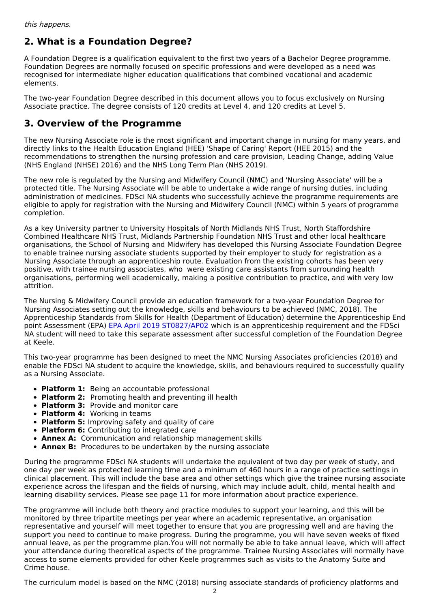## **2. What is a Foundation Degree?**

A Foundation Degree is a qualification equivalent to the first two years of a Bachelor Degree programme. Foundation Degrees are normally focused on specific professions and were developed as a need was recognised for intermediate higher education qualifications that combined vocational and academic elements.

The two-year Foundation Degree described in this document allows you to focus exclusively on Nursing Associate practice. The degree consists of 120 credits at Level 4, and 120 credits at Level 5.

## **3. Overview of the Programme**

The new Nursing Associate role is the most significant and important change in nursing for many years, and directly links to the Health Education England (HEE) 'Shape of Caring' Report (HEE 2015) and the recommendations to strengthen the nursing profession and care provision, Leading Change, adding Value (NHS England (NHSE) 2016) and the NHS Long Term Plan (NHS 2019).

The new role is regulated by the Nursing and Midwifery Council (NMC) and 'Nursing Associate' will be a protected title. The Nursing Associate will be able to undertake a wide range of nursing duties, including administration of medicines. FDSci NA students who successfully achieve the programme requirements are eligible to apply for registration with the Nursing and Midwifery Council (NMC) within 5 years of programme completion.

As a key University partner to University Hospitals of North Midlands NHS Trust, North Staffordshire Combined Healthcare NHS Trust, Midlands Partnership Foundation NHS Trust and other local healthcare organisations, the School of Nursing and Midwifery has developed this Nursing Associate Foundation Degree to enable trainee nursing associate students supported by their employer to study for registration as a Nursing Associate through an apprenticeship route. Evaluation from the existing cohorts has been very positive, with trainee nursing associates, who were existing care assistants from surrounding health organisations, performing well academically, making a positive contribution to practice, and with very low attrition.

The Nursing & Midwifery Council provide an education framework for a two-year Foundation Degree for Nursing Associates setting out the knowledge, skills and behaviours to be achieved (NMC, 2018). The Apprenticeship Standards from Skills for Health (Department of Education) determine the Apprenticeship End point Assessment (EPA) EPA April 2019 [ST0827/AP02](https://haso.skillsforhealth.org.uk/wp-content/uploads/2019/01/2019.04.05-Nursing-Associate-Assessment-Plan-AP02.pdf) which is an apprenticeship requirement and the FDSci NA student will need to take this separate assessment after successful completion of the Foundation Degree at Keele.

This two-year programme has been designed to meet the NMC Nursing Associates proficiencies (2018) and enable the FDSci NA student to acquire the knowledge, skills, and behaviours required to successfully qualify as a Nursing Associate.

- **Platform 1:** Being an accountable professional
- **Platform 2:** Promoting health and preventing ill health
- **Platform 3:** Provide and monitor care
- **Platform 4:** Working in teams
- **Platform 5:** Improving safety and quality of care
- **Platform 6:** Contributing to integrated care
- **Annex A:** Communication and relationship management skills
- **Annex B:** Procedures to be undertaken by the nursing associate

During the programme FDSci NA students will undertake the equivalent of two day per week of study, and one day per week as protected learning time and a minimum of 460 hours in a range of practice settings in clinical placement. This will include the base area and other settings which give the trainee nursing associate experience across the lifespan and the fields of nursing, which may include adult, child, mental health and learning disability services. Please see page 11 for more information about practice experience.

The programme will include both theory and practice modules to support your learning, and this will be monitored by three tripartite meetings per year where an academic representative, an organisation representative and yourself will meet together to ensure that you are progressing well and are having the support you need to continue to make progress. During the programme, you will have seven weeks of fixed annual leave, as per the programme plan.You will not normally be able to take annual leave, which will affect your attendance during theoretical aspects of the programme. Trainee Nursing Associates will normally have access to some elements provided for other Keele programmes such as visits to the Anatomy Suite and Crime house.

The curriculum model is based on the NMC (2018) nursing associate standards of proficiency platforms and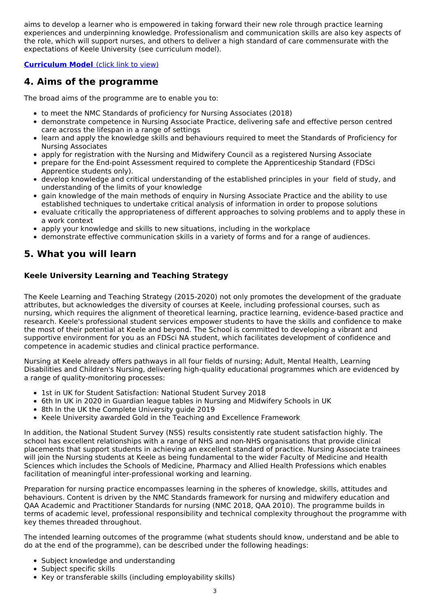aims to develop a learner who is empowered in taking forward their new role through practice learning experiences and underpinning knowledge. Professionalism and communication skills are also key aspects of the role, which will support nurses, and others to deliver a high standard of care commensurate with the expectations of Keele University (see curriculum model).

### **[Curriculum](https://docs.google.com/document/d/e/2PACX-1vSaDwvHyJ3ztikz-09ECe5R8DW3R-W3rCQzaQOePvLVIVJXPEj-nbGtGVe9P_8Tykct0m0APWrCnim4/pub) Model** (click link to view)

## **4. Aims of the programme**

The broad aims of the programme are to enable you to:

- to meet the NMC Standards of proficiency for Nursing Associates (2018)
- demonstrate competence in Nursing Associate Practice, delivering safe and effective person centred care across the lifespan in a range of settings
- learn and apply the knowledge skills and behaviours required to meet the Standards of Proficiency for Nursing Associates
- apply for registration with the Nursing and Midwifery Council as a registered Nursing Associate
- prepare for the End-point Assessment required to complete the Apprenticeship Standard (FDSci Apprentice students only).
- develop knowledge and critical understanding of the established principles in your field of study, and understanding of the limits of your knowledge
- gain knowledge of the main methods of enquiry in Nursing Associate Practice and the ability to use  $\bullet$ established techniques to undertake critical analysis of information in order to propose solutions
- evaluate critically the appropriateness of different approaches to solving problems and to apply these in a work context
- apply your knowledge and skills to new situations, including in the workplace
- demonstrate effective communication skills in a variety of forms and for a range of audiences.

## **5. What you will learn**

### **Keele University Learning and Teaching Strategy**

The Keele Learning and Teaching Strategy (2015-2020) not only promotes the development of the graduate attributes, but acknowledges the diversity of courses at Keele, including professional courses, such as nursing, which requires the alignment of theoretical learning, practice learning, evidence-based practice and research. Keele's professional student services empower students to have the skills and confidence to make the most of their potential at Keele and beyond. The School is committed to developing a vibrant and supportive environment for you as an FDSci NA student, which facilitates development of confidence and competence in academic studies and clinical practice performance.

Nursing at Keele already offers pathways in all four fields of nursing; Adult, Mental Health, Learning Disabilities and Children's Nursing, delivering high-quality educational programmes which are evidenced by a range of quality-monitoring processes:

- 1st in UK for Student Satisfaction: National Student Survey 2018
- 6th In UK in 2020 in Guardian league tables in Nursing and Midwifery Schools in UK
- 8th In the UK the Complete University quide 2019
- Keele University awarded Gold in the Teaching and Excellence Framework

In addition, the National Student Survey (NSS) results consistently rate student satisfaction highly. The school has excellent relationships with a range of NHS and non-NHS organisations that provide clinical placements that support students in achieving an excellent standard of practice. Nursing Associate trainees will join the Nursing students at Keele as being fundamental to the wider Faculty of Medicine and Health Sciences which includes the Schools of Medicine, Pharmacy and Allied Health Professions which enables facilitation of meaningful inter-professional working and learning.

Preparation for nursing practice encompasses learning in the spheres of knowledge, skills, attitudes and behaviours. Content is driven by the NMC Standards framework for nursing and midwifery education and QAA Academic and Practitioner Standards for nursing (NMC 2018, QAA 2010). The programme builds in terms of academic level, professional responsibility and technical complexity throughout the programme with key themes threaded throughout.

The intended learning outcomes of the programme (what students should know, understand and be able to do at the end of the programme), can be described under the following headings:

- Subject knowledge and understanding
- Subject specific skills
- Key or transferable skills (including employability skills)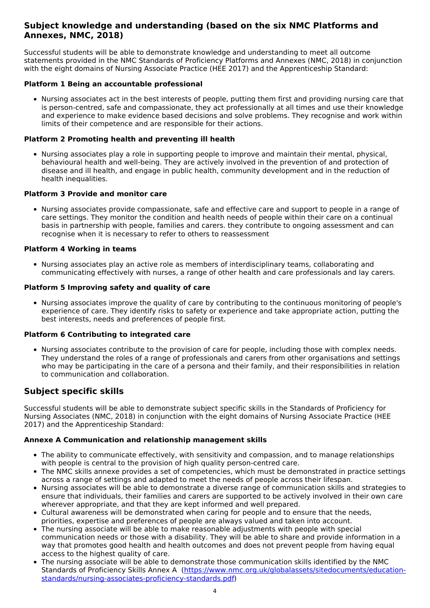### **Subject knowledge and understanding (based on the six NMC Platforms and Annexes, NMC, 2018)**

Successful students will be able to demonstrate knowledge and understanding to meet all outcome statements provided in the NMC Standards of Proficiency Platforms and Annexes (NMC, 2018) in conjunction with the eight domains of Nursing Associate Practice (HEE 2017) and the Apprenticeship Standard:

### **Platform 1 Being an accountable professional**

Nursing associates act in the best interests of people, putting them first and providing nursing care that is person-centred, safe and compassionate, they act professionally at all times and use their knowledge and experience to make evidence based decisions and solve problems. They recognise and work within limits of their competence and are responsible for their actions.

#### **Platform 2 Promoting health and preventing ill health**

Nursing associates play a role in supporting people to improve and maintain their mental, physical, behavioural health and well-being. They are actively involved in the prevention of and protection of disease and ill health, and engage in public health, community development and in the reduction of health inequalities.

### **Platform 3 Provide and monitor care**

Nursing associates provide compassionate, safe and effective care and support to people in a range of care settings. They monitor the condition and health needs of people within their care on a continual basis in partnership with people, families and carers. they contribute to ongoing assessment and can recognise when it is necessary to refer to others to reassessment

### **Platform 4 Working in teams**

Nursing associates play an active role as members of interdisciplinary teams, collaborating and communicating effectively with nurses, a range of other health and care professionals and lay carers.

### **Platform 5 Improving safety and quality of care**

Nursing associates improve the quality of care by contributing to the continuous monitoring of people's experience of care. They identify risks to safety or experience and take appropriate action, putting the best interests, needs and preferences of people first.

#### **Platform 6 Contributing to integrated care**

• Nursing associates contribute to the provision of care for people, including those with complex needs. They understand the roles of a range of professionals and carers from other organisations and settings who may be participating in the care of a persona and their family, and their responsibilities in relation to communication and collaboration.

### **Subject specific skills**

Successful students will be able to demonstrate subject specific skills in the Standards of Proficiency for Nursing Associates (NMC, 2018) in conjunction with the eight domains of Nursing Associate Practice (HEE 2017) and the Apprenticeship Standard:

#### **Annexe A Communication and relationship management skills**

- The ability to communicate effectively, with sensitivity and compassion, and to manage relationships with people is central to the provision of high quality person-centred care.
- The NMC skills annexe provides a set of competencies, which must be demonstrated in practice settings across a range of settings and adapted to meet the needs of people across their lifespan.
- Nursing associates will be able to demonstrate a diverse range of communication skills and strategies to ensure that individuals, their families and carers are supported to be actively involved in their own care wherever appropriate, and that they are kept informed and well prepared.
- Cultural awareness will be demonstrated when caring for people and to ensure that the needs, priorities, expertise and preferences of people are always valued and taken into account.
- The nursing associate will be able to make reasonable adjustments with people with special communication needs or those with a disability. They will be able to share and provide information in a way that promotes good health and health outcomes and does not prevent people from having equal access to the highest quality of care.
- The nursing associate will be able to demonstrate those communication skills identified by the NMC Standards of Proficiency Skills Annex A [\(https://www.nmc.org.uk/globalassets/sitedocuments/education](https://www.nmc.org.uk/globalassets/sitedocuments/education-standards/nursing-associates-proficiency-standards.pdf)standards/nursing-associates-proficiency-standards.pdf)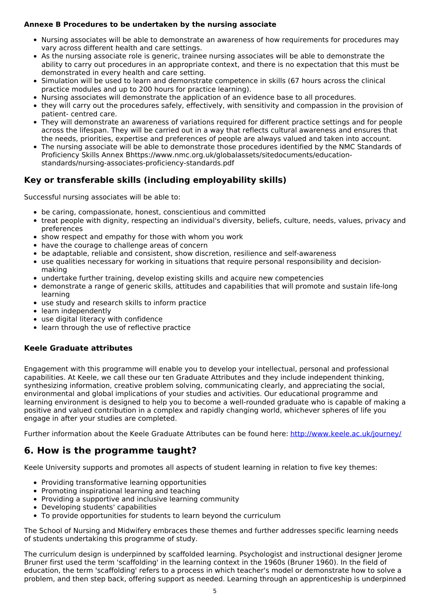### **Annexe B Procedures to be undertaken by the nursing associate**

- Nursing associates will be able to demonstrate an awareness of how requirements for procedures may vary across different health and care settings.
- As the nursing associate role is generic, trainee nursing associates will be able to demonstrate the ability to carry out procedures in an appropriate context, and there is no expectation that this must be demonstrated in every health and care setting.
- Simulation will be used to learn and demonstrate competence in skills (67 hours across the clinical practice modules and up to 200 hours for practice learning).
- Nursing associates will demonstrate the application of an evidence base to all procedures.
- they will carry out the procedures safely, effectively, with sensitivity and compassion in the provision of patient- centred care.
- They will demonstrate an awareness of variations required for different practice settings and for people across the lifespan. They will be carried out in a way that reflects cultural awareness and ensures that the needs, priorities, expertise and preferences of people are always valued and taken into account.
- The nursing associate will be able to demonstrate those procedures identified by the NMC Standards of Proficiency Skills Annex Bhttps://www.nmc.org.uk/globalassets/sitedocuments/educationstandards/nursing-associates-proficiency-standards.pdf

### **Key or transferable skills (including employability skills)**

Successful nursing associates will be able to:

- be caring, compassionate, honest, conscientious and committed
- treat people with dignity, respecting an individual's diversity, beliefs, culture, needs, values, privacy and preferences
- show respect and empathy for those with whom you work
- have the courage to challenge areas of concern
- be adaptable, reliable and consistent, show discretion, resilience and self-awareness
- use qualities necessary for working in situations that require personal responsibility and decision making
- undertake further training, develop existing skills and acquire new competencies
- demonstrate a range of generic skills, attitudes and capabilities that will promote and sustain life-long learning
- use study and research skills to inform practice
- learn independently
- use digital literacy with confidence
- learn through the use of reflective practice

### **Keele Graduate attributes**

Engagement with this programme will enable you to develop your intellectual, personal and professional capabilities. At Keele, we call these our ten Graduate Attributes and they include independent thinking, synthesizing information, creative problem solving, communicating clearly, and appreciating the social, environmental and global implications of your studies and activities. Our educational programme and learning environment is designed to help you to become a well-rounded graduate who is capable of making a positive and valued contribution in a complex and rapidly changing world, whichever spheres of life you engage in after your studies are completed.

Further information about the Keele Graduate Attributes can be found here: <http://www.keele.ac.uk/journey/>

### **6. How is the programme taught?**

Keele University supports and promotes all aspects of student learning in relation to five key themes:

- Providing transformative learning opportunities
- Promoting inspirational learning and teaching
- Providing a supportive and inclusive learning community
- Developing students' capabilities
- To provide opportunities for students to learn beyond the curriculum

The School of Nursing and Midwifery embraces these themes and further addresses specific learning needs of students undertaking this programme of study.

The curriculum design is underpinned by scaffolded learning. Psychologist and instructional designer Jerome Bruner first used the term 'scaffolding' in the learning context in the 1960s (Bruner 1960). In the field of education, the term 'scaffolding' refers to a process in which teacher's model or demonstrate how to solve a problem, and then step back, offering support as needed. Learning through an apprenticeship is underpinned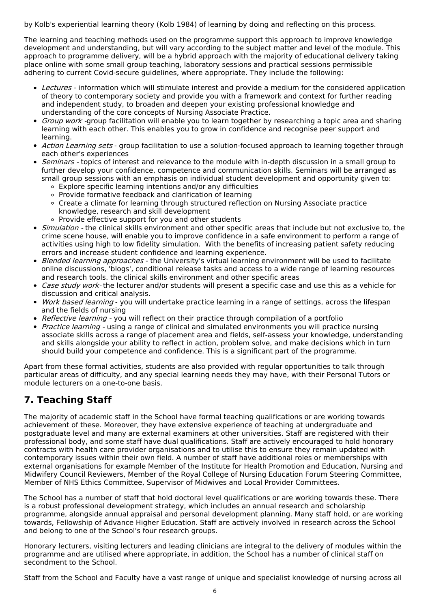by Kolb's experiential learning theory (Kolb 1984) of learning by doing and reflecting on this process.

The learning and teaching methods used on the programme support this approach to improve knowledge development and understanding, but will vary according to the subject matter and level of the module. This approach to programme delivery, will be a hybrid approach with the majority of educational delivery taking place online with some small group teaching, laboratory sessions and practical sessions permissible adhering to current Covid-secure guidelines, where appropriate. They include the following:

- Lectures information which will stimulate interest and provide a medium for the considered application of theory to contemporary society and provide you with a framework and context for further reading and independent study, to broaden and deepen your existing professional knowledge and understanding of the core concepts of Nursing Associate Practice.
- Group work -group facilitation will enable you to learn together by researching a topic area and sharing learning with each other. This enables you to grow in confidence and recognise peer support and learning.
- Action Learning sets group facilitation to use a solution-focused approach to learning together through each other's experiences
- Seminars topics of interest and relevance to the module with in-depth discussion in a small group to further develop your confidence, competence and communication skills. Seminars will be arranged as small group sessions with an emphasis on individual student development and opportunity given to:
	- Explore specific learning intentions and/or any difficulties
	- Provide formative feedback and clarification of learning
	- Create a climate for learning through structured reflection on Nursing Associate practice knowledge, research and skill development
	- Provide effective support for you and other students
- *Simulation* the clinical skills environment and other specific areas that include but not exclusive to, the crime scene house, will enable you to improve confidence in a safe environment to perform a range of activities using high to low fidelity simulation. With the benefits of increasing patient safety reducing errors and increase student confidence and learning experience.
- Blended learning approaches the University's virtual learning environment will be used to facilitate online discussions, 'blogs', conditional release tasks and access to a wide range of learning resources and research tools. the clinical skills environment and other specific areas
- Case study work- the lecturer and/or students will present a specific case and use this as a vehicle for discussion and critical analysis.
- *Work based learning* you will undertake practice learning in a range of settings, across the lifespan and the fields of nursing
- Reflective learning you will reflect on their practice through compilation of a portfolio
- Practice learning using a range of clinical and simulated environments you will practice nursing associate skills across a range of placement area and fields, self-assess your knowledge, understanding and skills alongside your ability to reflect in action, problem solve, and make decisions which in turn should build your competence and confidence. This is a significant part of the programme.

Apart from these formal activities, students are also provided with regular opportunities to talk through particular areas of difficulty, and any special learning needs they may have, with their Personal Tutors or module lecturers on a one-to-one basis.

## **7. Teaching Staff**

The majority of academic staff in the School have formal teaching qualifications or are working towards achievement of these. Moreover, they have extensive experience of teaching at undergraduate and postgraduate level and many are external examiners at other universities. Staff are registered with their professional body, and some staff have dual qualifications. Staff are actively encouraged to hold honorary contracts with health care provider organisations and to utilise this to ensure they remain updated with contemporary issues within their own field. A number of staff have additional roles or memberships with external organisations for example Member of the Institute for Health Promotion and Education, Nursing and Midwifery Council Reviewers, Member of the Royal College of Nursing Education Forum Steering Committee, Member of NHS Ethics Committee, Supervisor of Midwives and Local Provider Committees.

The School has a number of staff that hold doctoral level qualifications or are working towards these. There is a robust professional development strategy, which includes an annual research and scholarship programme, alongside annual appraisal and personal development planning. Many staff hold, or are working towards, Fellowship of Advance Higher Education. Staff are actively involved in research across the School and belong to one of the School's four research groups.

Honorary lecturers, visiting lecturers and leading clinicians are integral to the delivery of modules within the programme and are utilised where appropriate, in addition, the School has a number of clinical staff on secondment to the School.

Staff from the School and Faculty have a vast range of unique and specialist knowledge of nursing across all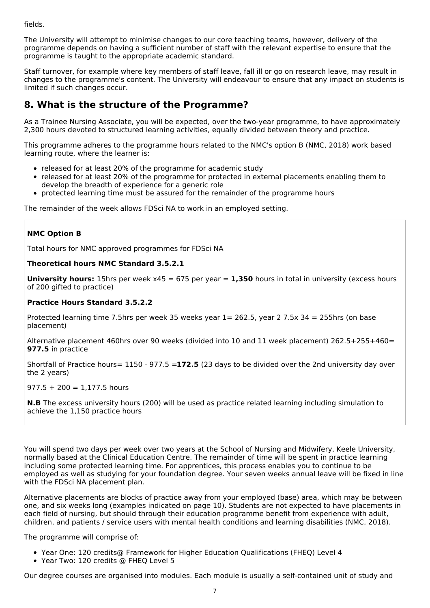fields.

The University will attempt to minimise changes to our core teaching teams, however, delivery of the programme depends on having a sufficient number of staff with the relevant expertise to ensure that the programme is taught to the appropriate academic standard.

Staff turnover, for example where key members of staff leave, fall ill or go on research leave, may result in changes to the programme's content. The University will endeavour to ensure that any impact on students is limited if such changes occur.

## **8. What is the structure of the Programme?**

As a Trainee Nursing Associate, you will be expected, over the two-year programme, to have approximately 2,300 hours devoted to structured learning activities, equally divided between theory and practice.

This programme adheres to the programme hours related to the NMC's option B (NMC, 2018) work based learning route, where the learner is:

- released for at least 20% of the programme for academic study
- released for at least 20% of the programme for protected in external placements enabling them to develop the breadth of experience for a generic role
- protected learning time must be assured for the remainder of the programme hours

The remainder of the week allows FDSci NA to work in an employed setting.

### **NMC Option B**

Total hours for NMC approved programmes for FDSci NA

### **Theoretical hours NMC Standard 3.5.2.1**

**University hours:** 15hrs per week x45 = 675 per year = **1,350** hours in total in university (excess hours of 200 gifted to practice)

### **Practice Hours Standard 3.5.2.2**

Protected learning time 7.5hrs per week 35 weeks year 1= 262.5, year 2 7.5x 34 = 255hrs (on base placement)

Alternative placement 460hrs over 90 weeks (divided into 10 and 11 week placement) 262.5+255+460= **977.5** in practice

Shortfall of Practice hours= 1150 - 977.5 =**172.5** (23 days to be divided over the 2nd university day over the 2 years)

#### $977.5 + 200 = 1,177.5$  hours

**N.B** The excess university hours (200) will be used as practice related learning including simulation to achieve the 1,150 practice hours

You will spend two days per week over two years at the School of Nursing and Midwifery, Keele University, normally based at the Clinical Education Centre. The remainder of time will be spent in practice learning including some protected learning time. For apprentices, this process enables you to continue to be employed as well as studying for your foundation degree. Your seven weeks annual leave will be fixed in line with the FDSci NA placement plan.

Alternative placements are blocks of practice away from your employed (base) area, which may be between one, and six weeks long (examples indicated on page 10). Students are not expected to have placements in each field of nursing, but should through their education programme benefit from experience with adult, children, and patients / service users with mental health conditions and learning disabilities (NMC, 2018).

The programme will comprise of:

- Year One: 120 credits@ Framework for Higher Education Qualifications (FHEQ) Level 4
- Year Two: 120 credits @ FHEQ Level 5

Our degree courses are organised into modules. Each module is usually a self-contained unit of study and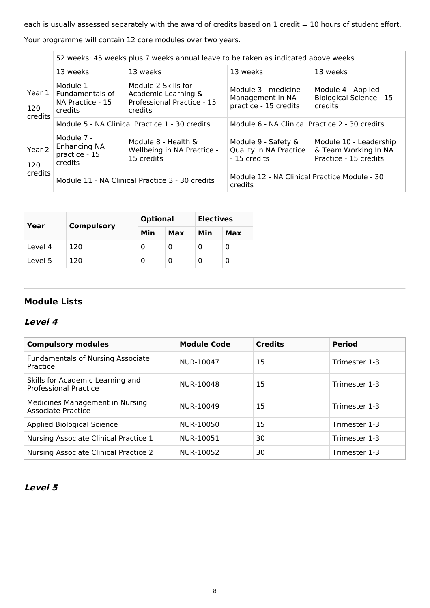each is usually assessed separately with the award of credits based on 1 credit = 10 hours of student effort.

Your programme will contain 12 core modules over two years.

|                              | 52 weeks: 45 weeks plus 7 weeks annual leave to be taken as indicated above weeks |                                                                                     |                                                                  |                                                                         |  |
|------------------------------|-----------------------------------------------------------------------------------|-------------------------------------------------------------------------------------|------------------------------------------------------------------|-------------------------------------------------------------------------|--|
|                              | 13 weeks<br>13 weeks                                                              |                                                                                     | 13 weeks                                                         | 13 weeks                                                                |  |
| Year $1$  <br>120<br>credits | Module 1 -<br>Fundamentals of<br>NA Practice - 15<br>credits                      | Module 2 Skills for<br>Academic Learning &<br>Professional Practice - 15<br>credits | Module 3 - medicine<br>Management in NA<br>practice - 15 credits | Module 4 - Applied<br><b>Biological Science - 15</b><br>credits         |  |
|                              |                                                                                   | Module 5 - NA Clinical Practice 1 - 30 credits                                      | Module 6 - NA Clinical Practice 2 - 30 credits                   |                                                                         |  |
| Year 2<br>120                | Module 7 -<br><b>Enhancing NA</b><br>practice - 15<br>credits                     | Module 8 - Health &<br>Wellbeing in NA Practice -<br>15 credits                     | Module 9 - Safety &<br>Quality in NA Practice<br>- 15 credits    | Module 10 - Leadership<br>& Team Working In NA<br>Practice - 15 credits |  |
| credits                      | Module 11 - NA Clinical Practice 3 - 30 credits                                   |                                                                                     | Module 12 - NA Clinical Practice Module - 30<br>credits          |                                                                         |  |

| Year    | <b>Compulsory</b> | <b>Optional</b> |     | <b>Electives</b> |     |
|---------|-------------------|-----------------|-----|------------------|-----|
|         |                   | Min             | Max | Min              | Max |
| Level 4 | 120               | 0               |     |                  | U   |
| Level 5 | 120               | 0               |     |                  | υ   |

### **Module Lists**

### **Level 4**

| <b>Compulsory modules</b>                                        | <b>Module Code</b> | <b>Credits</b> | <b>Period</b> |
|------------------------------------------------------------------|--------------------|----------------|---------------|
| <b>Fundamentals of Nursing Associate</b><br>Practice             | NUR-10047          | 15             | Trimester 1-3 |
| Skills for Academic Learning and<br><b>Professional Practice</b> | NUR-10048          | 15             | Trimester 1-3 |
| Medicines Management in Nursing<br>Associate Practice            | NUR-10049          | 15             | Trimester 1-3 |
| <b>Applied Biological Science</b>                                | NUR-10050          | 15             | Trimester 1-3 |
| Nursing Associate Clinical Practice 1                            | NUR-10051          | 30             | Trimester 1-3 |
| Nursing Associate Clinical Practice 2                            | NUR-10052          | 30             | Trimester 1-3 |

### **Level 5**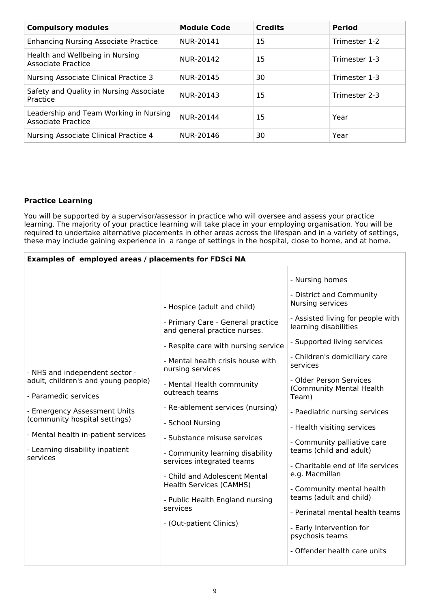| <b>Compulsory modules</b>                                           | <b>Module Code</b> | <b>Credits</b> | <b>Period</b> |
|---------------------------------------------------------------------|--------------------|----------------|---------------|
| <b>Enhancing Nursing Associate Practice</b>                         | NUR-20141          | 15             | Trimester 1-2 |
| Health and Wellbeing in Nursing<br>Associate Practice               | NUR-20142          | 15             | Trimester 1-3 |
| Nursing Associate Clinical Practice 3                               | NUR-20145          | 30             | Trimester 1-3 |
| Safety and Quality in Nursing Associate<br>Practice                 | NUR-20143          | 15             | Trimester 2-3 |
| Leadership and Team Working in Nursing<br><b>Associate Practice</b> | NUR-20144          | 15             | Year          |
| Nursing Associate Clinical Practice 4                               | NUR-20146          | 30             | Year          |

### **Practice Learning**

You will be supported by a supervisor/assessor in practice who will oversee and assess your practice learning. The majority of your practice learning will take place in your employing organisation. You will be required to undertake alternative placements in other areas across the lifespan and in a variety of settings, these may include gaining experience in a range of settings in the hospital, close to home, and at home.

| - Nursing homes<br>- District and Community<br>Nursing services<br>- Hospice (adult and child)                                                                                                                                                                                                                                                                                                                                                                                                                                                                                                                                                                                                                                                                                                                                                                                                                                                                                                                                                                                                                                                                                                                                      | Examples of employed areas / placements for FDSci NA |  |                                                                                                           |  |  |  |
|-------------------------------------------------------------------------------------------------------------------------------------------------------------------------------------------------------------------------------------------------------------------------------------------------------------------------------------------------------------------------------------------------------------------------------------------------------------------------------------------------------------------------------------------------------------------------------------------------------------------------------------------------------------------------------------------------------------------------------------------------------------------------------------------------------------------------------------------------------------------------------------------------------------------------------------------------------------------------------------------------------------------------------------------------------------------------------------------------------------------------------------------------------------------------------------------------------------------------------------|------------------------------------------------------|--|-----------------------------------------------------------------------------------------------------------|--|--|--|
| - Primary Care - General practice<br>learning disabilities<br>and general practice nurses.<br>- Supported living services<br>- Respite care with nursing service<br>- Children's domiciliary care<br>- Mental health crisis house with<br>services<br>nursing services<br>- NHS and independent sector -<br>- Older Person Services<br>adult, children's and young people)<br>- Mental Health community<br>(Community Mental Health<br>outreach teams<br>- Paramedic services<br>Team)<br>- Re-ablement services (nursing)<br>- Emergency Assessment Units<br>- Paediatric nursing services<br>(community hospital settings)<br>- School Nursing<br>- Health visiting services<br>- Mental health in-patient services<br>- Substance misuse services<br>- Community palliative care<br>- Learning disability inpatient<br>teams (child and adult)<br>- Community learning disability<br>services<br>services integrated teams<br>e.g. Macmillan<br>- Child and Adolescent Mental<br><b>Health Services (CAMHS)</b><br>- Community mental health<br>teams (adult and child)<br>- Public Health England nursing<br>services<br>- (Out-patient Clinics)<br>- Early Intervention for<br>psychosis teams<br>- Offender health care units |                                                      |  | - Assisted living for people with<br>- Charitable end of life services<br>- Perinatal mental health teams |  |  |  |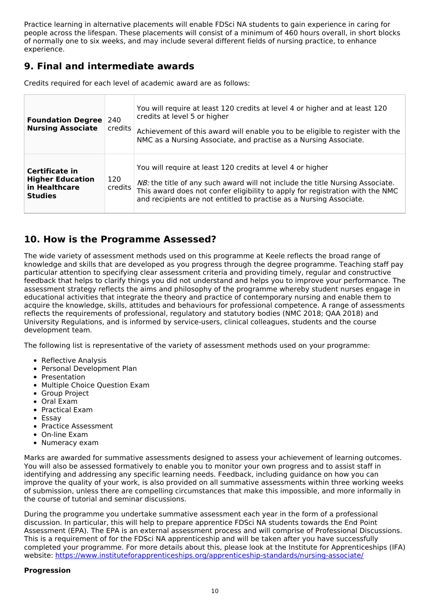Practice learning in alternative placements will enable FDSci NA students to gain experience in caring for people across the lifespan. These placements will consist of a minimum of 460 hours overall, in short blocks of normally one to six weeks, and may include several different fields of nursing practice, to enhance experience.

## **9. Final and intermediate awards**

| <b>Foundation Degree</b><br><b>Nursing Associate</b>                         | 240<br>credits | You will require at least 120 credits at level 4 or higher and at least 120<br>credits at level 5 or higher<br>Achievement of this award will enable you to be eligible to register with the<br>NMC as a Nursing Associate, and practise as a Nursing Associate.                                    |
|------------------------------------------------------------------------------|----------------|-----------------------------------------------------------------------------------------------------------------------------------------------------------------------------------------------------------------------------------------------------------------------------------------------------|
| Certificate in<br><b>Higher Education</b><br>in Healthcare<br><b>Studies</b> | 120<br>credits | You will require at least 120 credits at level 4 or higher<br>NB: the title of any such award will not include the title Nursing Associate.<br>This award does not confer eligibility to apply for registration with the NMC<br>and recipients are not entitled to practise as a Nursing Associate. |

Credits required for each level of academic award are as follows:

## **10. How is the Programme Assessed?**

The wide variety of assessment methods used on this programme at Keele reflects the broad range of knowledge and skills that are developed as you progress through the degree programme. Teaching staff pay particular attention to specifying clear assessment criteria and providing timely, regular and constructive feedback that helps to clarify things you did not understand and helps you to improve your performance. The assessment strategy reflects the aims and philosophy of the programme whereby student nurses engage in educational activities that integrate the theory and practice of contemporary nursing and enable them to acquire the knowledge, skills, attitudes and behaviours for professional competence. A range of assessments reflects the requirements of professional, regulatory and statutory bodies (NMC 2018; QAA 2018) and University Regulations, and is informed by service-users, clinical colleagues, students and the course development team.

The following list is representative of the variety of assessment methods used on your programme:

- Reflective Analysis
- Personal Development Plan
- Presentation
- Multiple Choice Question Exam
- Group Project
- Oral Exam
- Practical Exam
- Essay
- Practice Assessment
- On-line Exam
- Numeracy exam

Marks are awarded for summative assessments designed to assess your achievement of learning outcomes. You will also be assessed formatively to enable you to monitor your own progress and to assist staff in identifying and addressing any specific learning needs. Feedback, including guidance on how you can improve the quality of your work, is also provided on all summative assessments within three working weeks of submission, unless there are compelling circumstances that make this impossible, and more informally in the course of tutorial and seminar discussions.

During the programme you undertake summative assessment each year in the form of a professional discussion. In particular, this will help to prepare apprentice FDSci NA students towards the End Point Assessment (EPA). The EPA is an external assessment process and will comprise of Professional Discussions. This is a requirement of for the FDSci NA apprenticeship and will be taken after you have successfully completed your programme. For more details about this, please look at the Institute for Apprenticeships (IFA) website: <https://www.instituteforapprenticeships.org/apprenticeship-standards/nursing-associate/>

#### **Progression**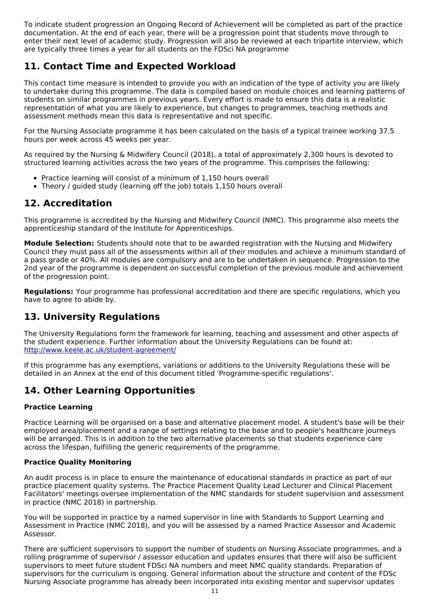To indicate student progression an Ongoing Record of Achievement will be completed as part of the practice documentation. At the end of each year, there will be a progression point that students move through to enter their next level of academic study. Progression will also be reviewed at each tripartite interview, which are typically three times a year for all students on the FDSci NA programme

## **11. Contact Time and Expected Workload**

This contact time measure is intended to provide you with an indication of the type of activity you are likely to undertake during this programme. The data is compiled based on module choices and learning patterns of students on similar programmes in previous years. Every effort is made to ensure this data is a realistic representation of what you are likely to experience, but changes to programmes, teaching methods and assessment methods mean this data is representative and not specific.

For the Nursing Associate programme it has been calculated on the basis of a typical trainee working 37.5 hours per week across 45 weeks per year.

As required by the Nursing & Midwifery Council (2018), a total of approximately 2,300 hours is devoted to structured learning activities across the two years of the programme. This comprises the following:

- Practice learning will consist of a minimum of 1,150 hours overall
- Theory / guided study (learning off the job) totals 1,150 hours overall

## **12. Accreditation**

This programme is accredited by the Nursing and Midwifery Council (NMC). This programme also meets the apprenticeship standard of the Institute for Apprenticeships.

**Module Selection:** Students should note that to be awarded registration with the Nursing and Midwifery Council they must pass all of the assessments within all of their modules and achieve a minimum standard of a pass grade or 40%. All modules are compulsory and are to be undertaken in sequence. Progression to the 2nd year of the programme is dependent on successful completion of the previous module and achievement of the progression point.

**Regulations:** Your programme has professional accreditation and there are specific regulations, which you have to agree to abide by.

## **13. University Regulations**

The University Regulations form the framework for learning, teaching and assessment and other aspects of the student experience. Further information about the University Regulations can be found at: <http://www.keele.ac.uk/student-agreement/>

If this programme has any exemptions, variations or additions to the University Regulations these will be detailed in an Annex at the end of this document titled 'Programme-specific regulations'.

## **14. Other Learning Opportunities**

### **Practice Learning**

Practice Learning will be organised on a base and alternative placement model. A student's base will be their employed area/placement and a range of settings relating to the base and to people's healthcare journeys will be arranged. This is in addition to the two alternative placements so that students experience care across the lifespan, fulfilling the generic requirements of the programme.

### **Practice Quality Monitoring**

An audit process is in place to ensure the maintenance of educational standards in practice as part of our practice placement quality systems. The Practice Placement Quality Lead Lecturer and Clinical Placement Facilitators' meetings oversee implementation of the NMC standards for student supervision and assessment in practice (NMC 2018) in partnership.

You will be supported in practice by a named supervisor in line with Standards to Support Learning and Assessment in Practice (NMC 2018), and you will be assessed by a named Practice Assessor and Academic Assessor.

There are sufficient supervisors to support the number of students on Nursing Associate programmes, and a rolling programme of supervisor / assessor education and updates ensures that there will also be sufficient supervisors to meet future student FDSci NA numbers and meet NMC quality standards. Preparation of supervisors for the curriculum is ongoing. General information about the structure and content of the FDSc Nursing Associate programme has already been incorporated into existing mentor and supervisor updates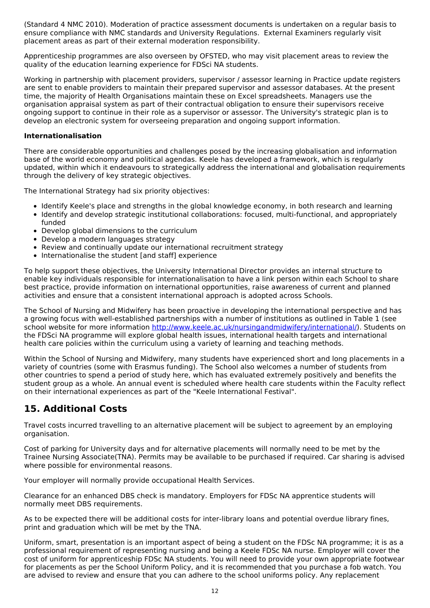(Standard 4 NMC 2010). Moderation of practice assessment documents is undertaken on a regular basis to ensure compliance with NMC standards and University Regulations. External Examiners regularly visit placement areas as part of their external moderation responsibility.

Apprenticeship programmes are also overseen by OFSTED, who may visit placement areas to review the quality of the education learning experience for FDSci NA students.

Working in partnership with placement providers, supervisor / assessor learning in Practice update registers are sent to enable providers to maintain their prepared supervisor and assessor databases. At the present time, the majority of Health Organisations maintain these on Excel spreadsheets. Managers use the organisation appraisal system as part of their contractual obligation to ensure their supervisors receive ongoing support to continue in their role as a supervisor or assessor. The University's strategic plan is to develop an electronic system for overseeing preparation and ongoing support information.

#### **Internationalisation**

There are considerable opportunities and challenges posed by the increasing globalisation and information base of the world economy and political agendas. Keele has developed a framework, which is regularly updated, within which it endeavours to strategically address the international and globalisation requirements through the delivery of key strategic objectives.

The International Strategy had six priority objectives:

- Identify Keele's place and strengths in the global knowledge economy, in both research and learning
- Identify and develop strategic institutional collaborations: focused, multi-functional, and appropriately funded
- Develop global dimensions to the curriculum
- Develop a modern languages strategy
- Review and continually update our international recruitment strategy
- Internationalise the student [and staff] experience

To help support these objectives, the University International Director provides an internal structure to enable key individuals responsible for internationalisation to have a link person within each School to share best practice, provide information on international opportunities, raise awareness of current and planned activities and ensure that a consistent international approach is adopted across Schools.

The School of Nursing and Midwifery has been proactive in developing the international perspective and has a growing focus with well-established partnerships with a number of institutions as outlined in Table 1 (see school website for more information <http://www.keele.ac.uk/nursingandmidwifery/international/>). Students on the FDSci NA programme will explore global health issues, international health targets and international health care policies within the curriculum using a variety of learning and teaching methods.

Within the School of Nursing and Midwifery, many students have experienced short and long placements in a variety of countries (some with Erasmus funding). The School also welcomes a number of students from other countries to spend a period of study here, which has evaluated extremely positively and benefits the student group as a whole. An annual event is scheduled where health care students within the Faculty reflect on their international experiences as part of the "Keele International Festival".

## **15. Additional Costs**

Travel costs incurred travelling to an alternative placement will be subject to agreement by an employing organisation.

Cost of parking for University days and for alternative placements will normally need to be met by the Trainee Nursing Associate(TNA). Permits may be available to be purchased if required. Car sharing is advised where possible for environmental reasons.

Your employer will normally provide occupational Health Services.

Clearance for an enhanced DBS check is mandatory. Employers for FDSc NA apprentice students will normally meet DBS requirements.

As to be expected there will be additional costs for inter-library loans and potential overdue library fines, print and graduation which will be met by the TNA.

Uniform, smart, presentation is an important aspect of being a student on the FDSc NA programme; it is as a professional requirement of representing nursing and being a Keele FDSc NA nurse. Employer will cover the cost of uniform for apprenticeship FDSc NA students. You will need to provide your own appropriate footwear for placements as per the School Uniform Policy, and it is recommended that you purchase a fob watch. You are advised to review and ensure that you can adhere to the school uniforms policy. Any replacement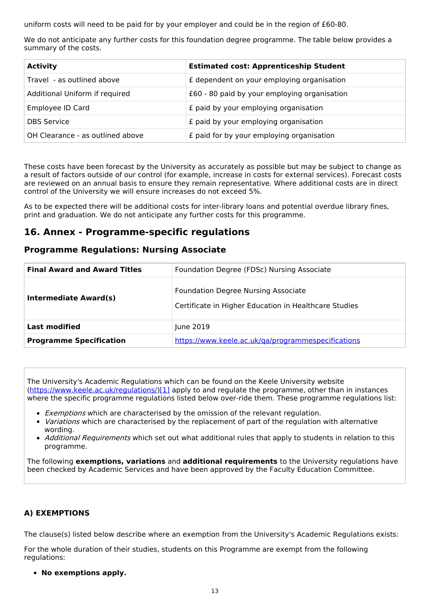uniform costs will need to be paid for by your employer and could be in the region of £60-80.

We do not anticipate any further costs for this foundation degree programme. The table below provides a summary of the costs.

| <b>Activity</b>                  | <b>Estimated cost: Apprenticeship Student</b> |
|----------------------------------|-----------------------------------------------|
| Travel - as outlined above       | £ dependent on your employing organisation    |
| Additional Uniform if required   | £60 - 80 paid by your employing organisation  |
| Employee ID Card                 | £ paid by your employing organisation         |
| <b>DBS Service</b>               | £ paid by your employing organisation         |
| OH Clearance - as outlined above | £ paid for by your employing organisation     |

These costs have been forecast by the University as accurately as possible but may be subject to change as a result of factors outside of our control (for example, increase in costs for external services). Forecast costs are reviewed on an annual basis to ensure they remain representative. Where additional costs are in direct control of the University we will ensure increases do not exceed 5%.

As to be expected there will be additional costs for inter-library loans and potential overdue library fines, print and graduation. We do not anticipate any further costs for this programme.

### **16. Annex - Programme-specific regulations**

### **Programme Regulations: Nursing Associate**

| <b>Final Award and Award Titles</b> | Foundation Degree (FDSc) Nursing Associate                                                          |  |
|-------------------------------------|-----------------------------------------------------------------------------------------------------|--|
| Intermediate Award(s)               | <b>Foundation Degree Nursing Associate</b><br>Certificate in Higher Education in Healthcare Studies |  |
| <b>Last modified</b>                | June 2019                                                                                           |  |
| <b>Programme Specification</b>      | https://www.keele.ac.uk/ga/programmespecifications                                                  |  |

The University's Academic Regulations which can be found on the Keele University website [\(https://www.keele.ac.uk/regulations/](https://www.keele.ac.uk/regulations/)[\)\[1\]](https://scims-api.keele.ac.uk/#_ftn1) apply to and regulate the programme, other than in instances where the specific programme regulations listed below over-ride them. These programme regulations list:

- **Exemptions which are characterised by the omission of the relevant regulation.**
- Variations which are characterised by the replacement of part of the regulation with alternative wording.
- Additional Requirements which set out what additional rules that apply to students in relation to this programme.

The following **exemptions, variations** and **additional requirements** to the University regulations have been checked by Academic Services and have been approved by the Faculty Education Committee.

### **A) EXEMPTIONS**

The clause(s) listed below describe where an exemption from the University's Academic Regulations exists:

For the whole duration of their studies, students on this Programme are exempt from the following regulations:

**No exemptions apply.**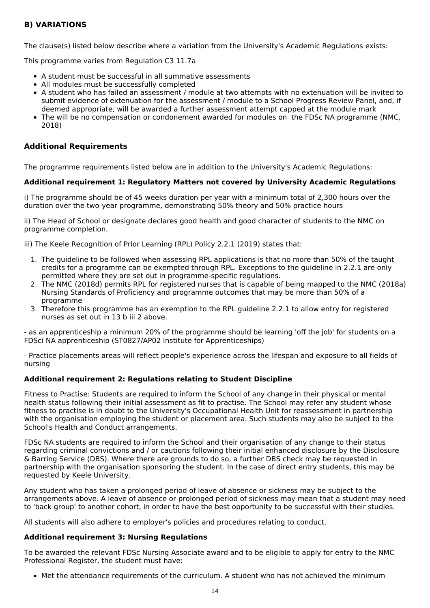### **B) VARIATIONS**

The clause(s) listed below describe where a variation from the University's Academic Regulations exists:

This programme varies from Regulation C3 11.7a

- A student must be successful in all summative assessments
- All modules must be successfully completed
- A student who has failed an assessment / module at two attempts with no extenuation will be invited to submit evidence of extenuation for the assessment / module to a School Progress Review Panel, and, if deemed appropriate, will be awarded a further assessment attempt capped at the module mark
- The will be no compensation or condonement awarded for modules on the FDSc NA programme (NMC, 2018)

### **Additional Requirements**

The programme requirements listed below are in addition to the University's Academic Regulations:

#### **Additional requirement 1: Regulatory Matters not covered by University Academic Regulations**

i) The programme should be of 45 weeks duration per year with a minimum total of 2,300 hours over the duration over the two-year programme, demonstrating 50% theory and 50% practice hours

ii) The Head of School or designate declares good health and good character of students to the NMC on programme completion.

iii) The Keele Recognition of Prior Learning (RPL) Policy 2.2.1 (2019) states that:

- 1. The guideline to be followed when assessing RPL applications is that no more than 50% of the taught credits for a programme can be exempted through RPL. Exceptions to the guideline in 2.2.1 are only permitted where they are set out in programme-specific regulations.
- 2. The NMC (2018d) permits RPL for registered nurses that is capable of being mapped to the NMC (2018a) Nursing Standards of Proficiency and programme outcomes that may be more than 50% of a programme
- 3. Therefore this programme has an exemption to the RPL guideline 2.2.1 to allow entry for registered nurses as set out in 13 b iii 2 above.

- as an apprenticeship a minimum 20% of the programme should be learning 'off the job' for students on a FDSci NA apprenticeship (ST0827/AP02 Institute for Apprenticeships)

- Practice placements areas will reflect people's experience across the lifespan and exposure to all fields of nursing

#### **Additional requirement 2: Regulations relating to Student Discipline**

Fitness to Practise: Students are required to inform the School of any change in their physical or mental health status following their initial assessment as fit to practise. The School may refer any student whose fitness to practise is in doubt to the University's Occupational Health Unit for reassessment in partnership with the organisation employing the student or placement area. Such students may also be subject to the School's Health and Conduct arrangements.

FDSc NA students are required to inform the School and their organisation of any change to their status regarding criminal convictions and / or cautions following their initial enhanced disclosure by the Disclosure & Barring Service (DBS). Where there are grounds to do so, a further DBS check may be requested in partnership with the organisation sponsoring the student. In the case of direct entry students, this may be requested by Keele University.

Any student who has taken a prolonged period of leave of absence or sickness may be subject to the arrangements above. A leave of absence or prolonged period of sickness may mean that a student may need to 'back group' to another cohort, in order to have the best opportunity to be successful with their studies.

All students will also adhere to employer's policies and procedures relating to conduct.

#### **Additional requirement 3: Nursing Regulations**

To be awarded the relevant FDSc Nursing Associate award and to be eligible to apply for entry to the NMC Professional Register, the student must have:

Met the attendance requirements of the curriculum. A student who has not achieved the minimum